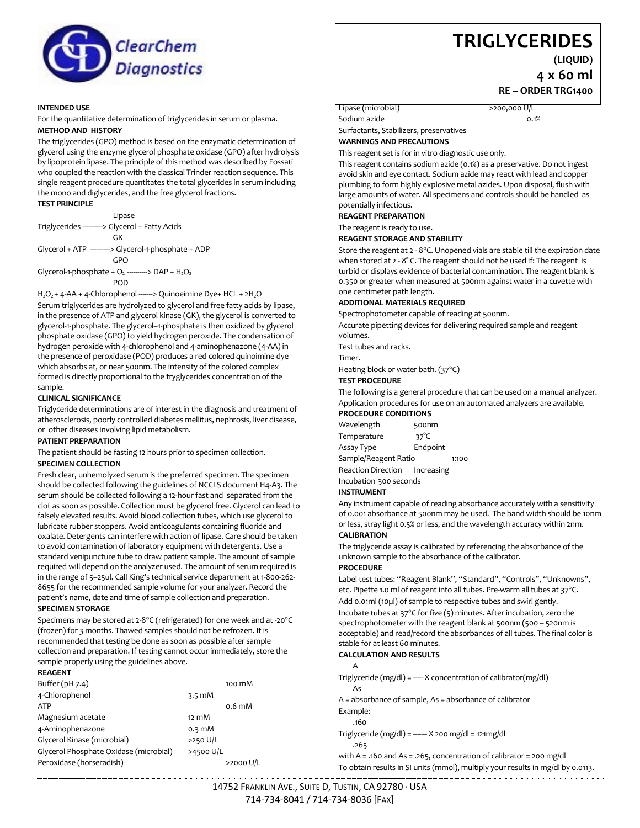

#### **INTENDED USE**

For the quantitative determination of triglycerides in serum or plasma. **METHOD AND HISTORY**

The triglycerides (GPO) method is based on the enzymatic determination of glycerol using the enzyme glycerol phosphate oxidase (GPO) after hydrolysis by lipoprotein lipase. The principle of this method was described by Fossati who coupled the reaction with the classical Trinder reaction sequence. This single reagent procedure quantitates the total glycerides in serum including the mono and diglycerides, and the free glycerol fractions.

#### **TEST PRINCIPLE**

Lipase Triglycerides ----------> Glycerol + Fatty Acids GK Glycerol + ATP ----------> Glycerol-1-phosphate + ADP GPO Glycerol-1-phosphate +  $O_2$  ---------> DAP +  $H_2O_2$ POD

H<sub>2</sub>O<sub>2</sub> + 4-AA + 4-Chlorophenol -------> Quinoeimine Dye+ HCL + 2H<sub>2</sub>O Serum triglycerides are hydrolyzed to glycerol and free fatty acids by lipase, in the presence of ATP and glycerol kinase (GK), the glycerol is converted to glycerol-1-phosphate. The glycerol–1-phosphate is then oxidized by glycerol phosphate oxidase (GPO) to yield hydrogen peroxide. The condensation of hydrogen peroxide with 4-chlorophenol and 4-aminophenazone (4-AA) in the presence of peroxidase (POD) produces a red colored quinoimine dye which absorbs at, or near 500nm. The intensity of the colored complex formed is directly proportional to the tryglycerides concentration of the sample.

## **CLINICAL SIGNIFICANCE**

Triglyceride determinations are of interest in the diagnosis and treatment of atherosclerosis, poorly controlled diabetes mellitus, nephrosis, liver disease, or other diseases involving lipid metabolism.

# **PATIENT PREPARATION**

The patient should be fasting 12 hours prior to specimen collection. **SPECIMEN COLLECTION**

Fresh clear, unhemolyzed serum is the preferred specimen. The specimen should be collected following the guidelines of NCCLS document H4-A3. The serum should be collected following a 12-hour fast and separated from the clot as soon as possible. Collection must be glycerol free. Glycerol can lead to falsely elevated results. Avoid blood collection tubes, which use glycerol to lubricate rubber stoppers. Avoid anticoagulants containing fluoride and oxalate. Detergents can interfere with action of lipase. Care should be taken to avoid contamination of laboratory equipment with detergents. Use a standard venipuncture tube to draw patient sample. The amount of sample required will depend on the analyzer used. The amount of serum required is in the range of 5–25ul. Call King's technical service department at 1-800-262- 8655 for the recommended sample volume for your analyzer. Record the patient's name, date and time of sample collection and preparation.

#### **SPECIMEN STORAGE**

Specimens may be stored at 2-8°C (refrigerated) for one week and at -20°C (frozen) for 3 months. Thawed samples should not be refrozen. It is recommended that testing be done as soon as possible after sample collection and preparation. If testing cannot occur immediately, store the sample properly using the guidelines above.

# **REAGENT**

| Buffer $(pH 7.4)$                      |                  | 100 mM            |
|----------------------------------------|------------------|-------------------|
| 4-Chlorophenol                         | $3.5 \text{ mM}$ |                   |
| ATP                                    |                  | 0.6 <sub>mm</sub> |
| Magnesium acetate                      | $12 \text{ mM}$  |                   |
| 4-Aminophenazone                       | $0.3 \text{ mM}$ |                   |
| Glycerol Kinase (microbial)            | >250 U/L         |                   |
| Glycerol Phosphate Oxidase (microbial) | >4500 U/L        |                   |
| Peroxidase (horseradish)               |                  | $>$ 2000 U/L      |

# **TRIGLYCERIDES**

**(LIQUID)**

**4 x 60 ml RE – ORDER TRG1400**

Lipase (microbial)  $>$ 200,000 U/L

Sodium azide 0.1% Surfactants, Stabilizers, preservatives

**WARNINGS AND PRECAUTIONS**

This reagent set is for in vitro diagnostic use only.

This reagent contains sodium azide (0.1%) as a preservative. Do not ingest avoid skin and eye contact. Sodium azide may react with lead and copper plumbing to form highly explosive metal azides. Upon disposal, flush with large amounts of water. All specimens and controls should be handled as potentially infectious.

**REAGENT PREPARATION**

#### The reagent is ready to use.

#### **REAGENT STORAGE AND STABILITY**

Store the reagent at  $2 - 8$ °C. Unopened vials are stable till the expiration date when stored at 2 - 8° C. The reagent should not be used if: The reagent is turbid or displays evidence of bacterial contamination. The reagent blank is 0.350 or greater when measured at 500nm against water in a cuvette with one centimeter path length.

#### **ADDITIONAL MATERIALS REQUIRED**

Spectrophotometer capable of reading at 500nm.

Accurate pipetting devices for delivering required sample and reagent volumes.

Test tubes and racks.

Timer.

Heating block or water bath. (37°C)

#### **TEST PROCEDURE**

The following is a general procedure that can be used on a manual analyzer. Application procedures for use on an automated analyzers are available. **PROCEDURE CONDITIONS**

Wavelength 500nm

Temperature 37°C Assay Type Endpoint Sample/Reagent Ratio 1:100 Reaction Direction Increasing Incubation 300 seconds

# **INSTRUMENT**

Any instrument capable of reading absorbance accurately with a sensitivity of 0.001 absorbance at 500nm may be used. The band width should be 10nm or less, stray light 0.5% or less, and the wavelength accuracy within 2nm. **CALIBRATION**

# The triglyceride assay is calibrated by referencing the absorbance of the

unknown sample to the absorbance of the calibrator.

#### **PROCEDURE**

Label test tubes: "Reagent Blank", "Standard", "Controls", "Unknowns", etc. Pipette 1.0 ml of reagent into all tubes. Pre-warm all tubes at 37°C. Add 0.01ml (10µl) of sample to respective tubes and swirl gently. Incubate tubes at  $37^{\circ}$ C for five (5) minutes. After incubation, zero the spectrophotometer with the reagent blank at 500nm (500 – 520nm is acceptable) and read/record the absorbances of all tubes. The final color is stable for at least 60 minutes.

#### **CALCULATION AND RESULTS**

A Triglyceride (mg/dl) =  $---x$  concentration of calibrator(mg/dl) As A = absorbance of sample, As = absorbance of calibrator Example: .160

Triglyceride (mg/dl) = ------- X 200 mg/dl = 121mg/dl .265

with A = .160 and As = .265, concentration of calibrator = 200 mg/dl To obtain results in SI units (mmol), multiply your results in mg/dl by 0.0113.